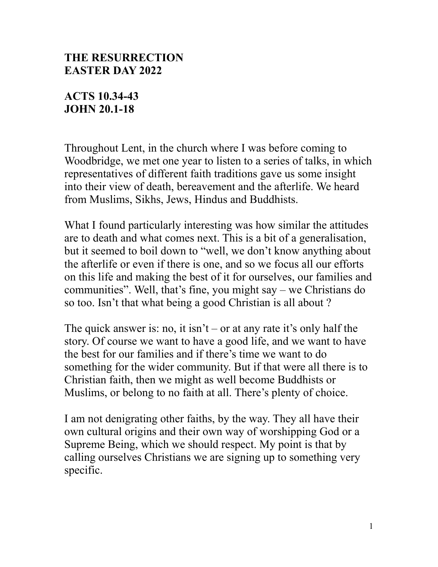## **THE RESURRECTION EASTER DAY 2022**

## **ACTS 10.34-43 JOHN 20.1-18**

Throughout Lent, in the church where I was before coming to Woodbridge, we met one year to listen to a series of talks, in which representatives of different faith traditions gave us some insight into their view of death, bereavement and the afterlife. We heard from Muslims, Sikhs, Jews, Hindus and Buddhists.

What I found particularly interesting was how similar the attitudes are to death and what comes next. This is a bit of a generalisation, but it seemed to boil down to "well, we don't know anything about the afterlife or even if there is one, and so we focus all our efforts on this life and making the best of it for ourselves, our families and communities". Well, that's fine, you might say – we Christians do so too. Isn't that what being a good Christian is all about ?

The quick answer is: no, it isn't – or at any rate it's only half the story. Of course we want to have a good life, and we want to have the best for our families and if there's time we want to do something for the wider community. But if that were all there is to Christian faith, then we might as well become Buddhists or Muslims, or belong to no faith at all. There's plenty of choice.

I am not denigrating other faiths, by the way. They all have their own cultural origins and their own way of worshipping God or a Supreme Being, which we should respect. My point is that by calling ourselves Christians we are signing up to something very specific.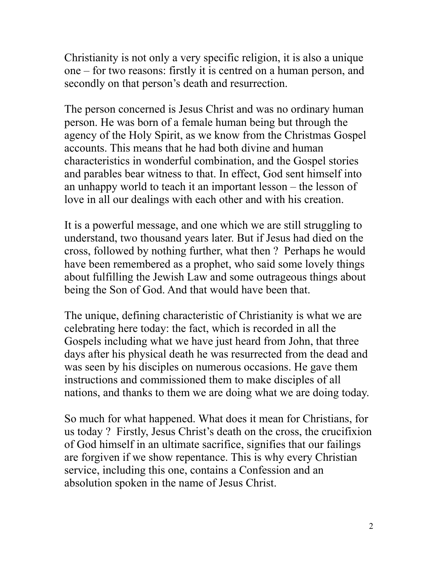Christianity is not only a very specific religion, it is also a unique one – for two reasons: firstly it is centred on a human person, and secondly on that person's death and resurrection.

The person concerned is Jesus Christ and was no ordinary human person. He was born of a female human being but through the agency of the Holy Spirit, as we know from the Christmas Gospel accounts. This means that he had both divine and human characteristics in wonderful combination, and the Gospel stories and parables bear witness to that. In effect, God sent himself into an unhappy world to teach it an important lesson – the lesson of love in all our dealings with each other and with his creation.

It is a powerful message, and one which we are still struggling to understand, two thousand years later. But if Jesus had died on the cross, followed by nothing further, what then ? Perhaps he would have been remembered as a prophet, who said some lovely things about fulfilling the Jewish Law and some outrageous things about being the Son of God. And that would have been that.

The unique, defining characteristic of Christianity is what we are celebrating here today: the fact, which is recorded in all the Gospels including what we have just heard from John, that three days after his physical death he was resurrected from the dead and was seen by his disciples on numerous occasions. He gave them instructions and commissioned them to make disciples of all nations, and thanks to them we are doing what we are doing today.

So much for what happened. What does it mean for Christians, for us today ? Firstly, Jesus Christ's death on the cross, the crucifixion of God himself in an ultimate sacrifice, signifies that our failings are forgiven if we show repentance. This is why every Christian service, including this one, contains a Confession and an absolution spoken in the name of Jesus Christ.